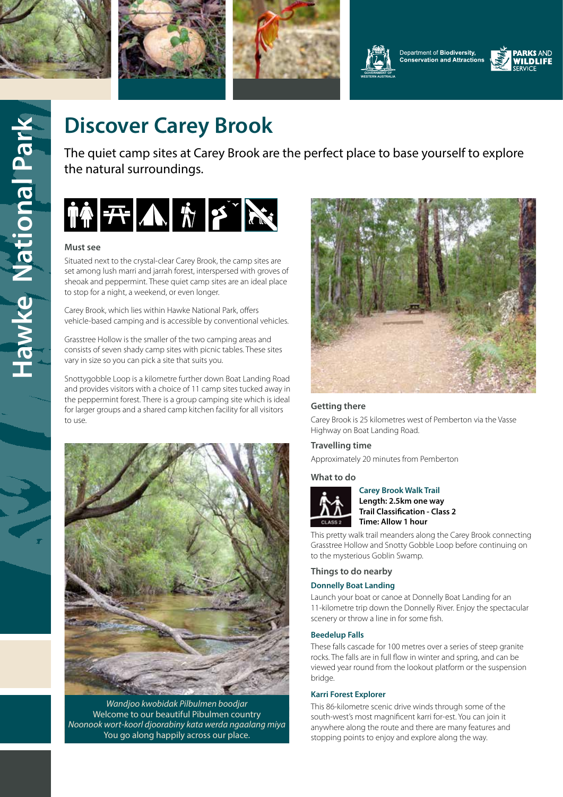









# Hawke National Park **Hawke National Park**

# **Discover Carey Brook**

The quiet camp sites at Carey Brook are the perfect place to base yourself to explore the natural surroundings.



### **Must see**

Situated next to the crystal-clear Carey Brook, the camp sites are set among lush marri and jarrah forest, interspersed with groves of sheoak and peppermint. These quiet camp sites are an ideal place to stop for a night, a weekend, or even longer.

Carey Brook, which lies within Hawke National Park, offers vehicle-based camping and is accessible by conventional vehicles.

Grasstree Hollow is the smaller of the two camping areas and consists of seven shady camp sites with picnic tables. These sites vary in size so you can pick a site that suits you.

Snottygobble Loop is a kilometre further down Boat Landing Road and provides visitors with a choice of 11 camp sites tucked away in the peppermint forest. There is a group camping site which is ideal for larger groups and a shared camp kitchen facility for all visitors to use.



*Wandjoo kwobidak Pilbulmen boodjar* Welcome to our beautiful Pibulmen country *Noonook wort-koorl djoorabiny kata werda ngaalang miya* You go along happily across our place.



### **Getting there**

Carey Brook is 25 kilometres west of Pemberton via the Vasse Highway on Boat Landing Road.

### **Travelling time**

Approximately 20 minutes from Pemberton

### **What to do**



## **Carey Brook Walk Trail**

**Length: 2.5km one way Trail Classification - Class 2 Time: Allow 1 hour**

This pretty walk trail meanders along the Carey Brook connecting Grasstree Hollow and Snotty Gobble Loop before continuing on to the mysterious Goblin Swamp.

### **Things to do nearby**

### **Donnelly Boat Landing**

Launch your boat or canoe at Donnelly Boat Landing for an 11-kilometre trip down the Donnelly River. Enjoy the spectacular scenery or throw a line in for some fish.

### **Beedelup Falls**

These falls cascade for 100 metres over a series of steep granite rocks. The falls are in full flow in winter and spring, and can be viewed year round from the lookout platform or the suspension bridge.

### **Karri Forest Explorer**

This 86-kilometre scenic drive winds through some of the south-west's most magnificent karri for-est. You can join it anywhere along the route and there are many features and stopping points to enjoy and explore along the way.